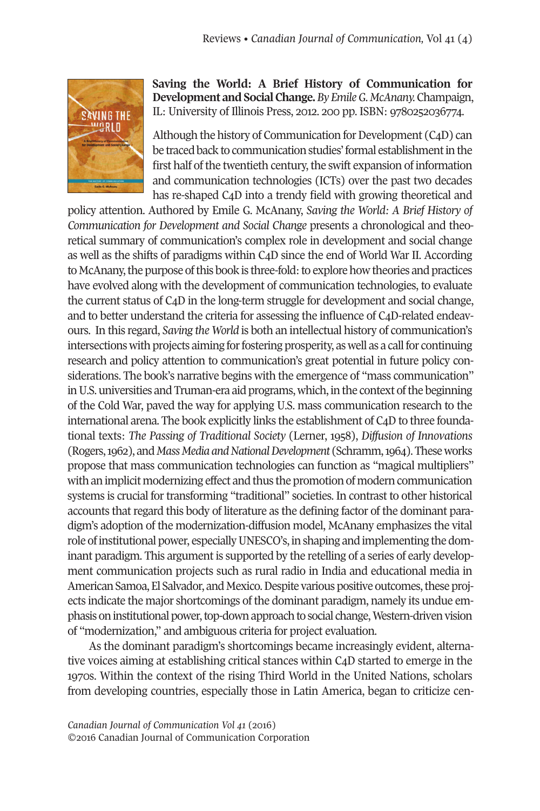

**Saving the World: A Brief History of Communication for Development and Social Change.** By *Emile G. McAnany*. Champaign, IL: University of Illinois Press, 2012. 200 pp. ISBN: 9780252036774.

Although the history of Communication for Development (C<sub>4</sub>D) can be traced back to communication studies' formal establishment in the first half of the twentieth century, the swift expansion of information and communication technologies (ICTs) over the past two decades has re-shaped C4D into a trendy field with growing theoretical and

policy attention. Authored by Emile G. McAnany, *Saving the World: A Brief History of Communication for Development and Social Change* presents a chronological and theoretical summary of communication's complex role in development and social change as well as the shifts of paradigms within C4D since the end of World War II. According to McAnany, the purpose of this book is three-fold: to explore how theories and practices have evolved along with the development of communication technologies, to evaluate the current status of C4D in the long-term struggle for development and social change, and to better understand the criteria for assessing the influence of C4D-related endeavours. In this regard, *Saving the World* is both an intellectual history of communication's intersections with projects aiming for fostering prosperity, as well as a call for continuing research and policy attention to communication's great potential in future policy considerations. The book's narrative begins with the emergence of "mass communication" in U.S. universities and Truman-era aid programs, which, in the context of the beginning of the Cold War, paved the way for applying U.S. mass communication research to the international arena. The book explicitly links the establishment of  $C_4D$  to three foundational texts: *The Passing of Traditional Society* (Lerner, 1958), *Diffusion of Innovations* (Rogers,1962), and*MassMedia andNationalDevelopment* (Schramm,1964).Theseworks propose that mass communication technologies can function as "magical multipliers" with an implicit modernizing effect and thus the promotion of modern communication systems is crucial for transforming "traditional" societies. In contrast to other historical accounts that regard this body of literature as the defining factor of the dominant paradigm's adoption of the modernization-diffusion model, McAnany emphasizes the vital role of institutional power, especially UNESCO's, in shaping and implementing the dominant paradigm. This argument is supported by the retelling of a series of early development communication projects such as rural radio in India and educational media in American Samoa, El Salvador, and Mexico. Despite various positive outcomes, these projects indicate the major shortcomings of the dominant paradigm, namely its undue emphasis on institutional power, top-down approach to social change, Western-driven vision of "modernization," and ambiguous criteria for project evaluation.

As the dominant paradigm's shortcomings became increasingly evident, alternative voices aiming at establishing critical stances within C4D started to emerge in the 1970s. Within the context of the rising Third World in the United Nations, scholars from developing countries, especially those in Latin America, began to criticize cen-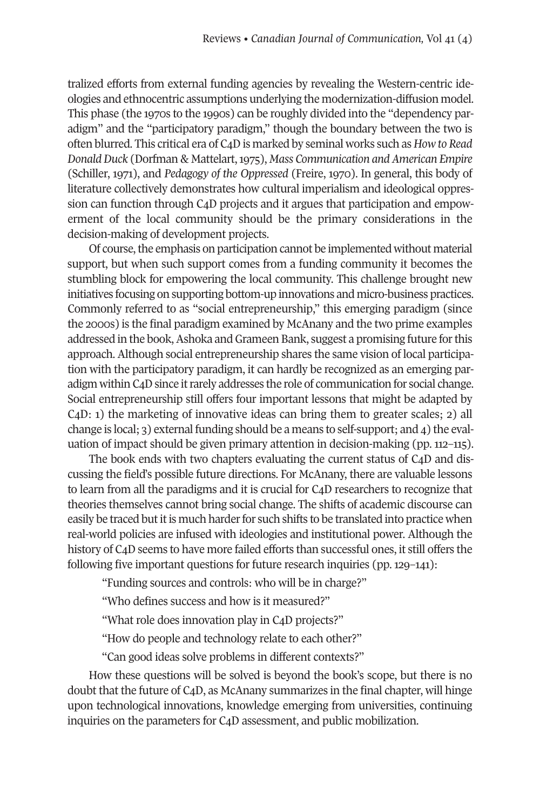tralized efforts from external funding agencies by revealing the Western-centric ideologies and ethnocentric assumptions underlying the modernization-diffusion model. This phase (the 1970s to the 1990s) can be roughly divided into the "dependency paradigm" and the "participatory paradigm," though the boundary between the two is often blurred. This critical era of C4Dis marked by seminal works such as *How to Read DonaldDuck* (Dorfman & Mattelart,1975), *Mass Communication andAmerican Empire* (Schiller, 1971), and *Pedagogy of the Oppressed* (Freire, 1970). In general, this body of literature collectively demonstrates how cultural imperialism and ideological oppression can function through C4D projects and it argues that participation and empowerment of the local community should be the primary considerations in the decision-making of development projects.

Of course, the emphasis on participation cannot be implemented without material support, but when such support comes from a funding community it becomes the stumbling block for empowering the local community. This challenge brought new initiatives focusing on supporting bottom-up innovations and micro-business practices. Commonly referred to as "social entrepreneurship," this emerging paradigm (since the 2000s) is the final paradigm examined by McAnany and the two prime examples addressed in the book, Ashoka and Grameen Bank, suggest a promising future for this approach. Although social entrepreneurship shares the same vision of local participation with the participatory paradigm, it can hardly be recognized as an emerging paradigm within C<sub>4</sub>D since it rarely addresses the role of communication for social change. Social entrepreneurship still offers four important lessons that might be adapted by C4D: 1) the marketing of innovative ideas can bring them to greater scales; 2) all change is local; 3) external funding should be a means to self-support; and 4) the evaluation of impact should be given primary attention in decision-making (pp. 112–115).

The book ends with two chapters evaluating the current status of C4D and discussing the field's possible future directions. For McAnany, there are valuable lessons to learn from all the paradigms and it is crucial for C4D researchers to recognize that theories themselves cannot bring social change. The shifts of academic discourse can easily be traced but it is much harder for such shifts to be translated into practice when real-world policies are infused with ideologies and institutional power. Although the history of C4D seems to have more failed efforts than successful ones, it still offers the following five important questions for future research inquiries (pp. 129–141):

"Funding sources and controls: who will be in charge?"

"Who defines success and how is it measured?"

"What role does innovation play in C4D projects?"

"How do people and technology relate to each other?"

"Can good ideas solve problems in different contexts?"

How these questions will be solved is beyond the book's scope, but there is no doubt that the future of C4D, as McAnany summarizes in the final chapter, will hinge upon technological innovations, knowledge emerging from universities, continuing inquiries on the parameters for C4D assessment, and public mobilization.